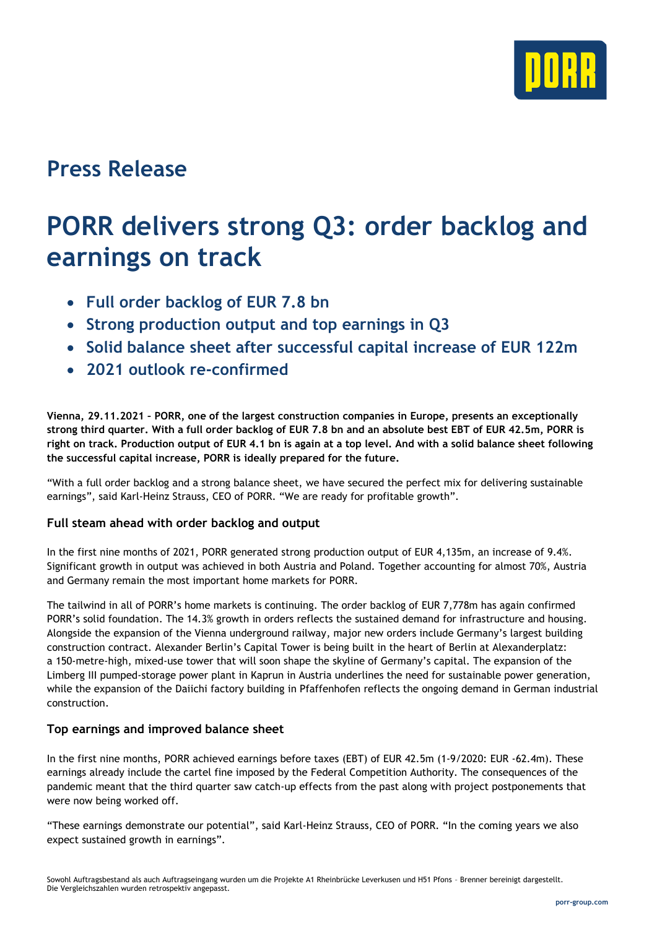

# **Press Release**

# **PORR delivers strong Q3: order backlog and earnings on track**

- **Full order backlog of EUR 7.8 bn**
- **Strong production output and top earnings in Q3**
- **Solid balance sheet after successful capital increase of EUR 122m**
- **2021 outlook re-confirmed**

**Vienna, 29.11.2021 – PORR, one of the largest construction companies in Europe, presents an exceptionally strong third quarter. With a full order backlog of EUR 7.8 bn and an absolute best EBT of EUR 42.5m, PORR is right on track. Production output of EUR 4.1 bn is again at a top level. And with a solid balance sheet following the successful capital increase, PORR is ideally prepared for the future.**

"With a full order backlog and a strong balance sheet, we have secured the perfect mix for delivering sustainable earnings", said Karl-Heinz Strauss, CEO of PORR. "We are ready for profitable growth".

#### **Full steam ahead with order backlog and output**

In the first nine months of 2021, PORR generated strong production output of EUR 4,135m, an increase of 9.4%. Significant growth in output was achieved in both Austria and Poland. Together accounting for almost 70%, Austria and Germany remain the most important home markets for PORR.

The tailwind in all of PORR's home markets is continuing. The order backlog of EUR 7,778m has again confirmed PORR's solid foundation. The 14.3% growth in orders reflects the sustained demand for infrastructure and housing. Alongside the expansion of the Vienna underground railway, major new orders include Germany's largest building construction contract. Alexander Berlin's Capital Tower is being built in the heart of Berlin at Alexanderplatz: a 150-metre-high, mixed-use tower that will soon shape the skyline of Germany's capital. The expansion of the Limberg III pumped-storage power plant in Kaprun in Austria underlines the need for sustainable power generation, while the expansion of the Daiichi factory building in Pfaffenhofen reflects the ongoing demand in German industrial construction.

#### **Top earnings and improved balance sheet**

In the first nine months, PORR achieved earnings before taxes (EBT) of EUR 42.5m (1-9/2020: EUR -62.4m). These earnings already include the cartel fine imposed by the Federal Competition Authority. The consequences of the pandemic meant that the third quarter saw catch-up effects from the past along with project postponements that were now being worked off.

"These earnings demonstrate our potential", said Karl-Heinz Strauss, CEO of PORR. "In the coming years we also expect sustained growth in earnings".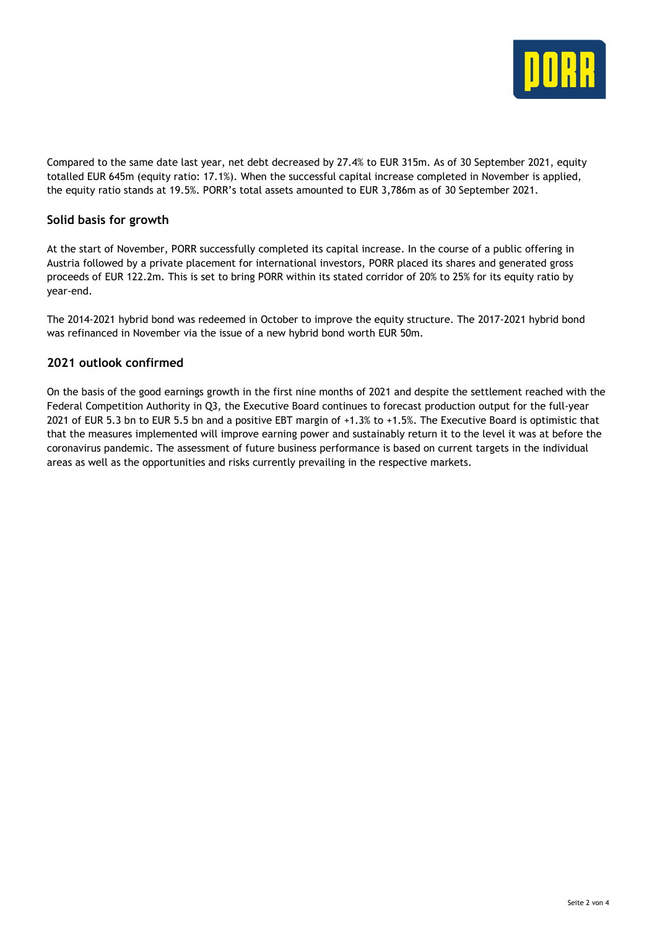

Compared to the same date last year, net debt decreased by 27.4% to EUR 315m. As of 30 September 2021, equity totalled EUR 645m (equity ratio: 17.1%). When the successful capital increase completed in November is applied, the equity ratio stands at 19.5%. PORR's total assets amounted to EUR 3,786m as of 30 September 2021.

#### **Solid basis for growth**

At the start of November, PORR successfully completed its capital increase. In the course of a public offering in Austria followed by a private placement for international investors, PORR placed its shares and generated gross proceeds of EUR 122.2m. This is set to bring PORR within its stated corridor of 20% to 25% for its equity ratio by year-end.

The 2014-2021 hybrid bond was redeemed in October to improve the equity structure. The 2017-2021 hybrid bond was refinanced in November via the issue of a new hybrid bond worth EUR 50m.

#### **2021 outlook confirmed**

On the basis of the good earnings growth in the first nine months of 2021 and despite the settlement reached with the Federal Competition Authority in Q3, the Executive Board continues to forecast production output for the full-year 2021 of EUR 5.3 bn to EUR 5.5 bn and a positive EBT margin of +1.3% to +1.5%. The Executive Board is optimistic that that the measures implemented will improve earning power and sustainably return it to the level it was at before the coronavirus pandemic. The assessment of future business performance is based on current targets in the individual areas as well as the opportunities and risks currently prevailing in the respective markets.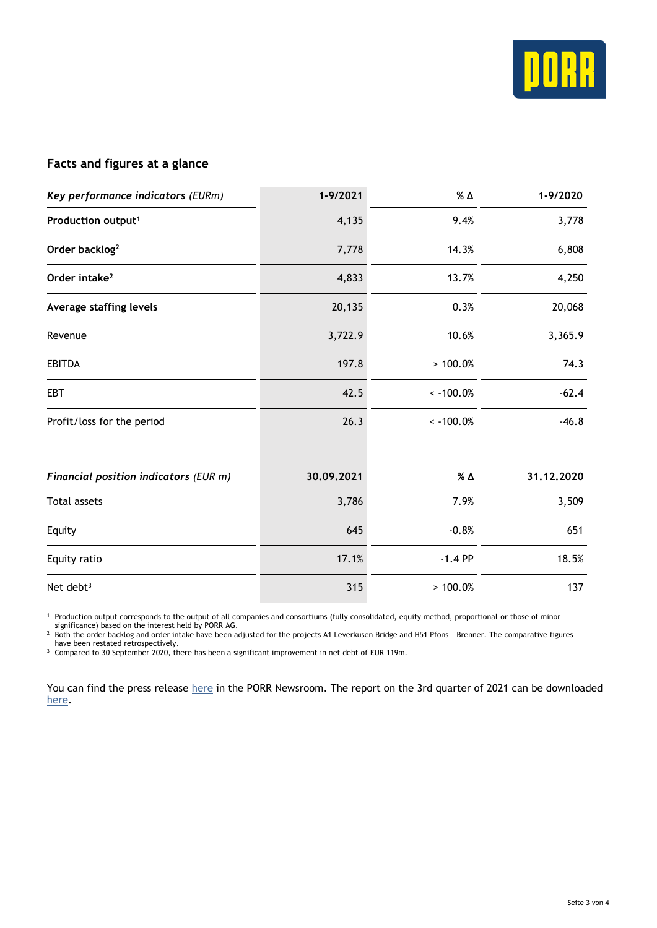

### **Facts and figures at a glance**

| Key performance indicators (EURm)     | 1-9/2021   | % Δ             | 1-9/2020   |
|---------------------------------------|------------|-----------------|------------|
| Production output <sup>1</sup>        | 4,135      | 9.4%            | 3,778      |
| Order backlog <sup>2</sup>            | 7,778      | 14.3%           | 6,808      |
| Order intake <sup>2</sup>             | 4,833      | 13.7%           | 4,250      |
| Average staffing levels               | 20,135     | 0.3%            | 20,068     |
| Revenue                               | 3,722.9    | 10.6%           | 3,365.9    |
| <b>EBITDA</b>                         | 197.8      | >100.0%         | 74.3       |
| <b>EBT</b>                            | 42.5       | $\sim$ -100.0%  | $-62.4$    |
| Profit/loss for the period            | 26.3       | $\leq -100.0\%$ | $-46.8$    |
| Financial position indicators (EUR m) | 30.09.2021 | <b>% Δ</b>      | 31.12.2020 |
| <b>Total assets</b>                   | 3,786      | 7.9%            | 3,509      |
| Equity                                | 645        | $-0.8%$         | 651        |
| Equity ratio                          | 17.1%      | $-1.4$ PP       | 18.5%      |
| Net debt <sup>3</sup>                 | 315        | >100.0%         | 137        |

<sup>1</sup> Production output corresponds to the output of all companies and consortiums (fully consolidated, equity method, proportional or those of minor significance) based on the interest held by PORR AG.

<sup>2</sup> Both the order backlog and order intake have been adjusted for the projects A1 Leverkusen Bridge and H51 Pfons – Brenner. The comparative figures

have been restated retrospectively.

<sup>3</sup> Compared to 30 September 2020, there has been a significant improvement in net debt of EUR 119m.

You can find the press release [here](https://porr-group.com/en/press/) in the PORR Newsroom. The report on the 3rd quarter of 2021 can be downloaded [here.](https://porr-group.com/qr-3-2021)